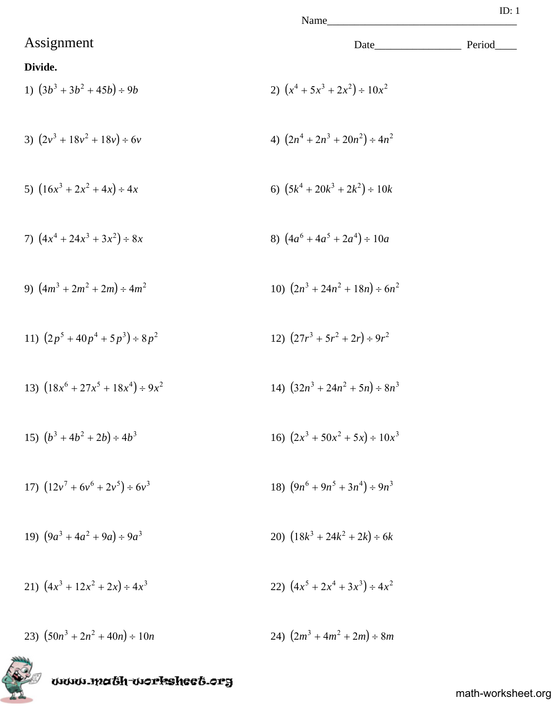Name

## Assignment Date\_\_\_\_\_\_\_\_\_\_\_\_\_\_\_\_ Period\_\_\_\_

### **Divide.**

1) 
$$
(3b^3 + 3b^2 + 45b) \div 9b
$$
  
2)  $(x^4 + 5x^3 + 2x^2) \div 10x^2$   
3)  $(2y^3 + 18y^2 + 18y) \div 6y$   
4)  $(2n^4 + 2n^3 + 20n^2) \div 4n^2$ 

3) 
$$
(2v^3 + 18v^2 + 18v) \div 6v
$$
  
4)  $(2n^4 + 2n^3 + 20n^2) \div 4n$ 

5) 
$$
(16x^3 + 2x^2 + 4x) \div 4x
$$
   
6)  $(5k^4 + 20k^3 + 2k^2) \div 10k$ 

7) 
$$
(4x^4 + 24x^3 + 3x^2) \div 8x
$$
  
8)  $(4a^6 + 4a^5 + 2a^4) \div 10a$ 

9) 
$$
(4m^3 + 2m^2 + 2m) \div 4m^2
$$
  
10)  $(2n^3 + 24n^2 + 18n) \div 6n^2$ 

11) 
$$
(2p^5 + 40p^4 + 5p^3) \div 8p^2
$$
  
12)  $(27r^3 + 5r^2 + 2r) \div 9r^2$ 

13) 
$$
(18x^6 + 27x^5 + 18x^4) \div 9x^2
$$
  
14)  $(32n^3 + 24n^2 + 5n) \div 8n^3$ 

15) 
$$
(b^3 + 4b^2 + 2b) \div 4b^3
$$
  
16)  $(2x^3 + 50x^2 + 5x) \div 10x^3$ 

17) 
$$
(12v^7 + 6v^6 + 2v^5) \div 6v^3
$$
  
18)  $(9n^6 + 9n^5 + 3n^4) \div 9n^3$ 

19) 
$$
(9a^3 + 4a^2 + 9a) \div 9a^3
$$
  
20)  $(18k^3 + 24k^2 + 2k) \div 6k$ 

21) 
$$
(4x^3 + 12x^2 + 2x) \div 4x^3
$$
  
22)  $(4x^5 + 2x^4 + 3x^3) \div 4x^2$ 

23)  $(50n^3 + 2n^2 + 40n) \div 10n$ <br>24)  $(2m^3 + 4m^2 + 2m) \div 8m$ 



67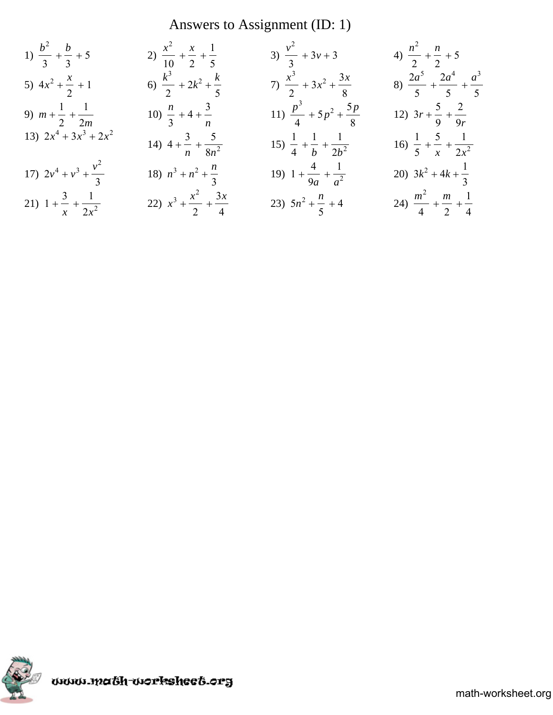# Answers to Assignment (ID: 1)

1) 
$$
\frac{b^2}{3} + \frac{b}{3} + 5
$$
  
\n2)  $\frac{x^2}{10} + \frac{x}{2} + \frac{1}{5}$   
\n3)  $\frac{v^2}{3} + 3v + 3$   
\n4)  $\frac{n^2}{2} + \frac{n}{2} + 5$   
\n5)  $4x^2 + \frac{x}{2} + 1$   
\n6)  $\frac{k^3}{2} + 2k^2 + \frac{k}{5}$   
\n7)  $\frac{x^3}{2} + 3x^2 + \frac{3x}{8}$   
\n8)  $\frac{2a^5}{5} + \frac{2a^4}{5} + \frac{a^3}{5}$   
\n9)  $m + \frac{1}{2} + \frac{1}{2m}$   
\n10)  $\frac{n}{3} + 4 + \frac{3}{n}$   
\n11)  $\frac{p^3}{4} + 5p^2 + \frac{5p}{8}$   
\n12)  $3r + \frac{5}{9} + \frac{2}{9r}$   
\n13)  $2x^4 + 3x^3 + 2x^2$   
\n14)  $4 + \frac{3}{n} + \frac{5}{8n^2}$   
\n15)  $\frac{1}{4} + \frac{1}{b} + \frac{1}{2b^2}$   
\n16)  $\frac{1}{5} + \frac{5}{x} + \frac{1}{2x^2}$   
\n17)  $2v^4 + v^3 + \frac{v^2}{3}$   
\n18)  $n^3 + n^2 + \frac{n}{3}$   
\n19)  $1 + \frac{4}{9a} + \frac{1}{a^2}$   
\n20)  $3k^2 + 4k + \frac{1}{3}$   
\n21)  $1 + \frac{3}{x} + \frac{1}{2x^2}$   
\n22)  $x^3 + \frac{x^2}{2} + \frac{3x}{4}$   
\n23)  $5n^2 + \frac{n}{5} + 4$   
\n24)  $\frac{m^2}{4} + \frac{m}{2} + \frac{1}{4}$ 

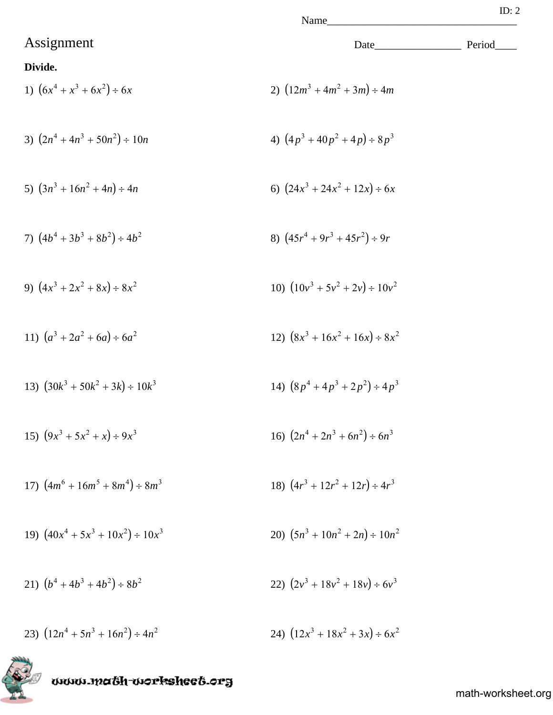## Assignment Date\_\_\_\_\_\_\_\_\_\_\_\_\_\_\_\_ Period\_\_\_\_

## **Divide.**

1) 
$$
(6x^4 + x^3 + 6x^2) \div 6x
$$
  
2)  $(12m^3 + 4m^2 + 3m) \div 4m$ 

3) 
$$
(2n^4 + 4n^3 + 50n^2) \div 10n
$$
  
4)  $(4p^3 + 40p^2 + 4p) \div 8p^3$ 

5) 
$$
(3n^3 + 16n^2 + 4n) \div 4n
$$
   
6)  $(24x^3 + 24x^2 + 12x) \div 6x$ 

7) 
$$
(4b^4 + 3b^3 + 8b^2) \div 4b^2
$$
  
8)  $(45r^4 + 9r^3 + 45r^2) \div 9r$ 

9) 
$$
(4x^3 + 2x^2 + 8x) \div 8x^2
$$
  
10)  $(10v^3 + 5v^2 + 2v) \div 10v^2$ 

11) 
$$
(a^3 + 2a^2 + 6a) \div 6a^2
$$
  
12)  $(8x^3 + 16x^2 + 16x) \div 8x^2$ 

13) 
$$
(30k^3 + 50k^2 + 3k) \div 10k^3
$$
  
14)  $(8p^4 + 4p^3 + 2p^2) \div 4p^3$ 

15) 
$$
(9x^3 + 5x^2 + x) \div 9x^3
$$
  
16)  $(2n^4 + 2n^3 + 6n^2) \div 6n^3$ 

17) 
$$
(4m^6 + 16m^5 + 8m^4) \div 8m^3
$$
  
18)  $(4r^3 + 12r^2 + 12r) \div 4r^3$ 

19) 
$$
(40x^4 + 5x^3 + 10x^2) \div 10x^3
$$
  
20)  $(5n^3 + 10n^2 + 2n) \div 10n^2$ 

21) 
$$
(b^4 + 4b^3 + 4b^2) \div 8b^2
$$
  
22)  $(2v^3 + 18v^2 + 18v) \div 6v^3$ 

23)  $(12n^4 + 5n^3 + 16n^2) \div 4n^2$ 24)  $(12x^3 + 18x^2 + 3x) \div 6x^2$ 

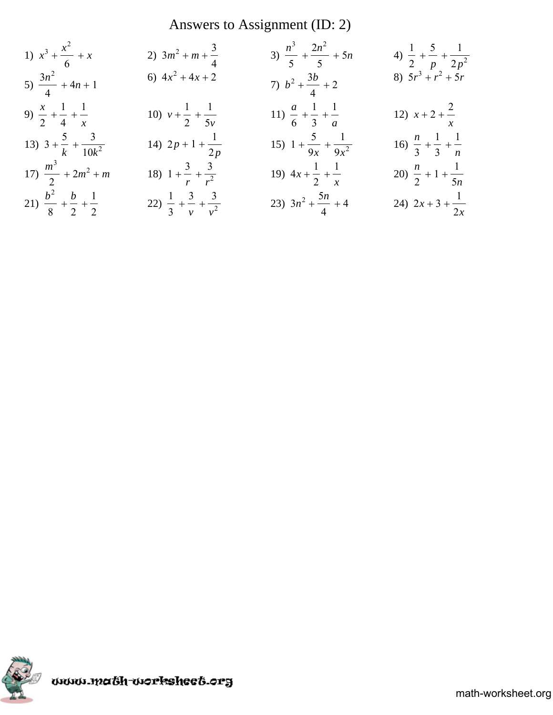# Answers to Assignment (ID: 2)

1) 
$$
x^3 + \frac{x^2}{6} + x
$$
  
\n2)  $3m^2 + m + \frac{3}{4}$   
\n3)  $\frac{n^3}{5} + \frac{2n^2}{5} + 5n$   
\n4)  $\frac{1}{2} + \frac{5}{p} + \frac{1}{2p^2}$   
\n5)  $\frac{3n^2}{4} + 4n + 1$   
\n6)  $4x^2 + 4x + 2$   
\n7)  $b^2 + \frac{3b}{4} + 2$   
\n8)  $5r^3 + r^2 + 5r$   
\n9)  $\frac{x}{2} + \frac{1}{4} + \frac{1}{x}$   
\n10)  $v + \frac{1}{2} + \frac{1}{5v}$   
\n11)  $\frac{a}{6} + \frac{1}{3} + \frac{1}{a}$   
\n12)  $x + 2 + \frac{2}{x}$   
\n13)  $3 + \frac{5}{k} + \frac{3}{10k^2}$   
\n14)  $2p + 1 + \frac{1}{2p}$   
\n15)  $1 + \frac{5}{9x} + \frac{1}{9x^2}$   
\n16)  $\frac{n}{3} + \frac{1}{3} + \frac{1}{n}$   
\n17)  $\frac{m^3}{2} + 2m^2 + m$   
\n18)  $1 + \frac{3}{r} + \frac{3}{r^2}$   
\n19)  $4x + \frac{1}{2} + \frac{1}{x}$   
\n20)  $\frac{n}{2} + 1 + \frac{1}{5n}$   
\n21)  $\frac{b^2}{8} + \frac{b}{2} + \frac{1}{2}$   
\n22)  $\frac{1}{3} + \frac{3}{v} + \frac{3}{v^2}$   
\n23)  $3n^2 + \frac{5n}{4} + 4$   
\n24)  $2x + 3 + \frac{1}{2x}$ 

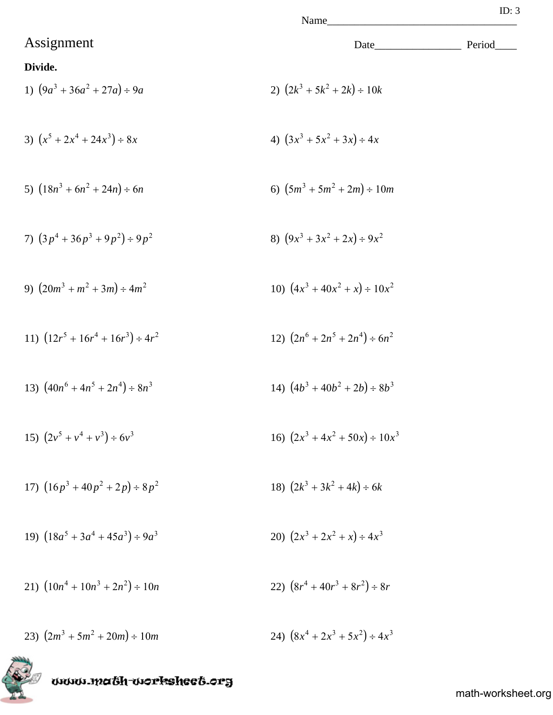# Assignment Date\_\_\_\_\_\_\_\_\_\_\_\_\_\_\_\_ Period\_\_\_\_ **Divide.** 1)  $(9a^3 + 36a^2 + 27a) \div 9a$ <br>2)  $(2k^3 + 5k^2 + 2k) \div 10k$ 3)  $(x^5 + 2x^4 + 24x^3) \div 8x$ 4)  $(3x^3 + 5x^2 + 3x) \div 4x$ 5)  $(18n^3 + 6n^2 + 24n) \div 6n$  6)  $(5m^3 + 5m^2 + 2m) \div 10m$ 7)  $(3p^4 + 36p^3 + 9p^2) \div 9p^2$ 8)  $(9x^3 + 3x^2 + 2x) \div 9x^2$ 9)  $(20m^3 + m^2 + 3m) \div 4m^2$  10)  $(4x^3 + 40x^2 + x) \div 10x^2$ 11)  $(12r^5 + 16r^4 + 16r^3) \div 4r^2$  $(2n^6 + 2n^5 + 2n^4) \div 6n^2$ 13)  $(40n^6 + 4n^5 + 2n^4) \div 8n^3$  $(4b^3 + 40b^2 + 2b) \div 8b^3$ 15)  $(2v^5 + v^4 + v^3) \div 6v^3$  $(2x^3 + 4x^2 + 50x) \div 10x^3$ 17)  $(16p^3 + 40p^2 + 2p) \div 8p^2$  18)  $(2k^3 + 3k^2 + 4k) \div 6k$ 19)  $(18a^5 + 3a^4 + 45a^3) \div 9a^3$  $(2x^3 + 2x^2 + x) \div 4x^3$ 21)  $(10n^4 + 10n^3 + 2n^2) \div 10n$  $(8r^4 + 40r^3 + 8r^2) \div 8r$ 24)  $(8x^4 + 2x^3 + 5x^2) \div 4x^3$ 23)  $(2m^3 + 5m^2 + 20m) \div 10m$ www.math-worksheet.org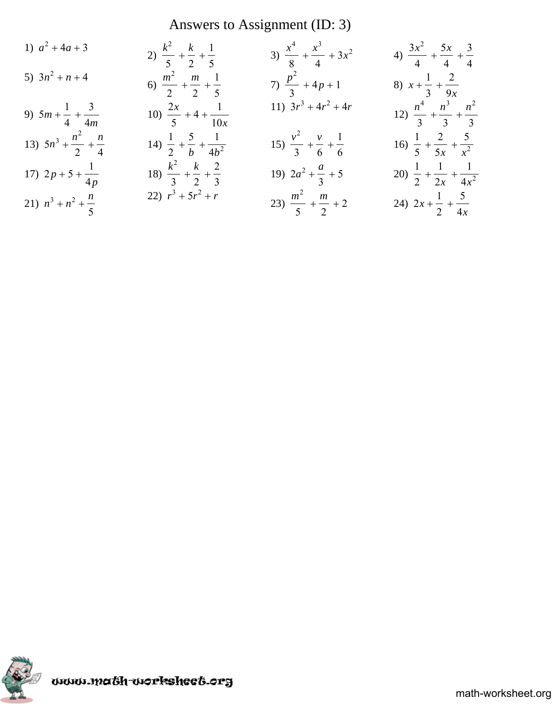# Answers to Assignment (ID: 3)

1) 
$$
a^2 + 4a + 3
$$
  
\n2)  $\frac{k^2}{5} + \frac{k}{2} + \frac{1}{5}$   
\n3)  $\frac{x^4}{8} + \frac{x^3}{4} + 3x^2$   
\n4)  $\frac{3x^2}{4} + \frac{5x}{4} + \frac{3}{4}$   
\n5)  $3n^2 + n + 4$   
\n6)  $\frac{m^2}{2} + \frac{m}{2} + \frac{1}{5}$   
\n7)  $\frac{p^2}{3} + 4p + 1$   
\n8)  $x + \frac{1}{3} + \frac{2}{9x}$   
\n9)  $5m + \frac{1}{4} + \frac{3}{4m}$   
\n10)  $\frac{2x}{5} + 4 + \frac{1}{10x}$   
\n11)  $3r^3 + 4r^2 + 4r$   
\n12)  $\frac{n^4}{3} + \frac{n^3}{3} + \frac{n^2}{3}$   
\n13)  $5n^3 + \frac{n^2}{2} + \frac{n}{4}$   
\n14)  $\frac{1}{2} + \frac{5}{b} + \frac{1}{4b^2}$   
\n15)  $\frac{v^2}{3} + \frac{v}{6} + \frac{1}{6}$   
\n16)  $\frac{1}{5} + \frac{2}{5x} + \frac{5}{x^2}$   
\n17)  $2p + 5 + \frac{1}{4p}$   
\n18)  $\frac{k^2}{3} + \frac{k}{2} + \frac{2}{3}$   
\n19)  $2a^2 + \frac{a}{3} + 5$   
\n20)  $\frac{1}{2} + \frac{1}{2x} + \frac{1}{4x^2}$   
\n21)  $n^3 + n^2 + \frac{n}{5}$   
\n22)  $r^3 + 5r^2 + r$   
\n23)  $\frac{m^2}{5} + \frac{m}{2} + 2$   
\n24)  $2x + \frac{1}{2} + \frac{5}{4x}$ 

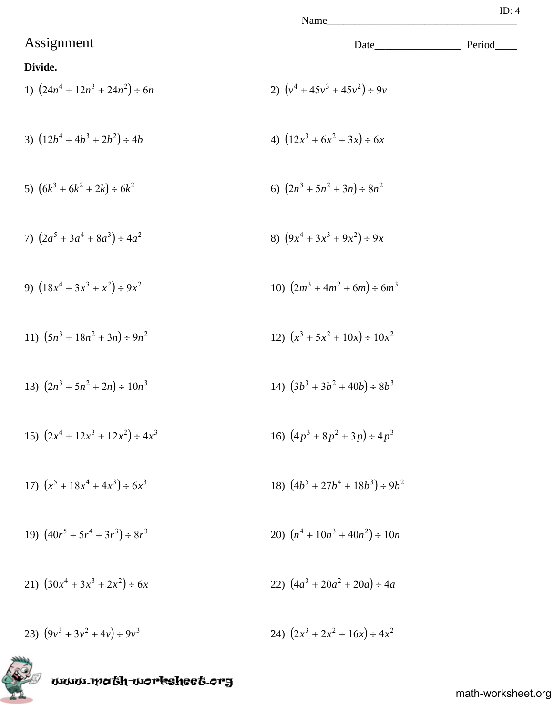1) 
$$
(24n^4 + 12n^3 + 24n^2) \div 6n
$$
  
2)  $(v^4 + 45v^3 + 45v^2) \div 9v$   
3)  $(12b^4 + 4b^3 + 2b^2) \div 4b$   
4)  $(12x^3 + 6x^2 + 3x) \div 6x$ 

5) 
$$
(6k^3 + 6k^2 + 2k) \div 6k^2
$$
   
6)  $(2n^3 + 5n^2 + 3n) \div 8n^2$ 

7) 
$$
(2a^5 + 3a^4 + 8a^3) \div 4a^2
$$
  
8)  $(9x^4 + 3x^3 + 9x^2) \div 9x$ 

9) 
$$
(18x^4 + 3x^3 + x^2) \div 9x^2
$$
  
10)  $(2m^3 + 4m^2 + 6m) \div 6m^3$ 

11) 
$$
(5n^3 + 18n^2 + 3n) \div 9n^2
$$
  
12)  $(x^3 + 5x^2 + 10x) \div 10x^2$ 

13) 
$$
(2n^3 + 5n^2 + 2n) \div 10n^3
$$
  
14)  $(3b^3 + 3b^2 + 40b) \div 8b^3$ 

15) 
$$
(2x^4 + 12x^3 + 12x^2) \div 4x^3
$$
  
16)  $(4p^3 + 8p^2 + 3p) \div 4p^3$ 

17) 
$$
(x^5 + 18x^4 + 4x^3) \div 6x^3
$$
  
18)  $(4b^5 + 27b^4 + 18b^3) \div 9b^2$ 

19) 
$$
(40r^5 + 5r^4 + 3r^3) \div 8r^3
$$
  
20)  $(n^4 + 10n^3 + 40n^2) \div 10n$ 

21)  $(30x^4 + 3x^3 + 2x^2) \div 6x$ 22)  $(4a^3 + 20a^2 + 20a) \div 4a$ 

23)  $(9v^3 + 3v^2 + 4v) \div 9v^3$ <br>24)  $(2x^3 + 2x^2 + 16x) \div 4x^2$ 

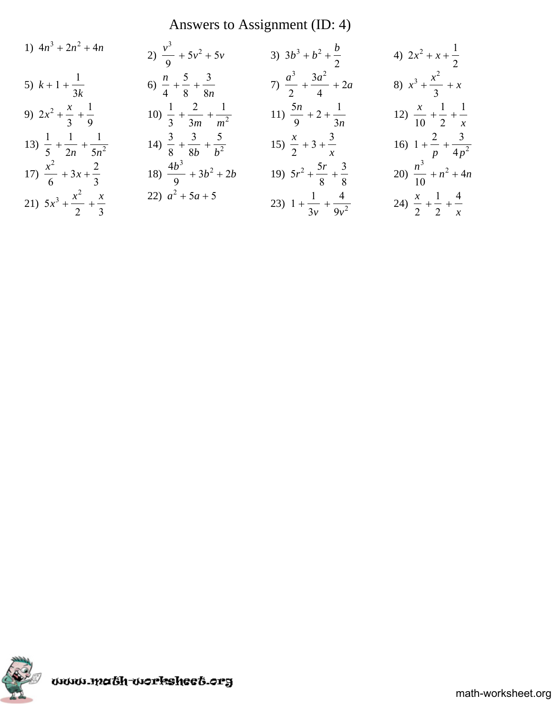# Answers to Assignment (ID: 4)

1) 
$$
4n^3 + 2n^2 + 4n
$$
  
\n2)  $\frac{v^3}{9} + 5v^2 + 5v$   
\n3)  $3b^3 + b^2 + \frac{b}{2}$   
\n4)  $2x^2 + x + \frac{1}{2}$   
\n5)  $k + 1 + \frac{1}{3k}$   
\n6)  $\frac{n}{4} + \frac{5}{8} + \frac{3}{8n}$   
\n7)  $\frac{a^3}{2} + \frac{3a^2}{4} + 2a$   
\n8)  $x^3 + \frac{x^2}{3} + x$   
\n9)  $2x^2 + \frac{x}{3} + \frac{1}{9}$   
\n10)  $\frac{1}{3} + \frac{2}{3m} + \frac{1}{m^2}$   
\n11)  $\frac{5n}{9} + 2 + \frac{1}{3n}$   
\n12)  $\frac{x}{10} + \frac{1}{2} + \frac{1}{x}$   
\n13)  $\frac{1}{5} + \frac{1}{2n} + \frac{1}{5n^2}$   
\n14)  $\frac{3}{8} + \frac{3}{8b} + \frac{5}{b^2}$   
\n15)  $\frac{x}{2} + 3 + \frac{3}{x}$   
\n16)  $1 + \frac{2}{p} + \frac{3}{4p^2}$   
\n17)  $\frac{x^2}{6} + 3x + \frac{2}{3}$   
\n18)  $\frac{4b^3}{9} + 3b^2 + 2b$   
\n19)  $5r^2 + \frac{5r}{8} + \frac{3}{8}$   
\n20)  $\frac{n^3}{10} + n^2 + 4n$   
\n21)  $5x^3 + \frac{x^2}{2} + \frac{x}{3}$   
\n22)  $a^2 + 5a + 5$   
\n23)  $1 + \frac{1}{3v} + \frac{4}{9v^2}$   
\n24)  $\frac{x}{2} + \frac{1}{2} + \frac{4}{x}$ 

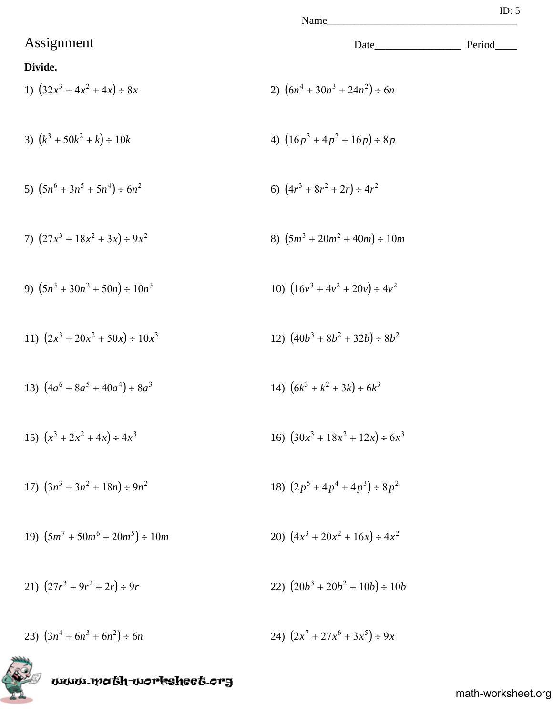- 1)  $(32x^3 + 4x^2 + 4x) \div 8x$ 2)  $(6n^4 + 30n^3 + 24n^2) \div 6n$
- 3)  $(k^3 + 50k^2 + k) \div 10k$  4)  $(16p^3 + 4p^2 + 16p) \div 8p$
- 5)  $(5n^6 + 3n^5 + 5n^4) \div 6n^2$ 6)  $(4r^3 + 8r^2 + 2r) \div 4r^2$
- 7)  $(27x^3 + 18x^2 + 3x) \div 9x^2$  8)  $(5m^3 + 20m^2 + 40m) \div 10m$
- 9)  $(5n^3 + 30n^2 + 50n) \div 10n^3$  <br>10)  $(16v^3 + 4v^2 + 20v) \div 4v^2$
- 11)  $(2x^3 + 20x^2 + 50x) \div 10x^3$ <br>12)  $(40b^3 + 8b^2 + 32b) \div 8b^2$
- 13)  $(4a^6 + 8a^5 + 40a^4) \div 8a^3$  $(k^3 + k^2 + 3k) \div 6k^3$
- 15)  $(x^3 + 2x^2 + 4x) \div 4x^3$ <br>16)  $(30x^3 + 18x^2 + 12x) \div 6x^3$
- $(3n^3 + 3n^2 + 18n) \div 9n^2$ 18)  $(2p^5 + 4p^4 + 4p^3) \div 8p^2$
- 19)  $(5m^7 + 50m^6 + 20m^5) \div 10m$  $(4x^3 + 20x^2 + 16x) \div 4x^2$
- 21)  $(27r^3 + 9r^2 + 2r) \div 9r$  <br>22)  $(20b^3 + 20b^2 + 10b) \div 10b$
- 23)  $(3n^4 + 6n^3 + 6n^2) \div 6n$  $(x^7 + 27x^6 + 3x^5) \div 9x$

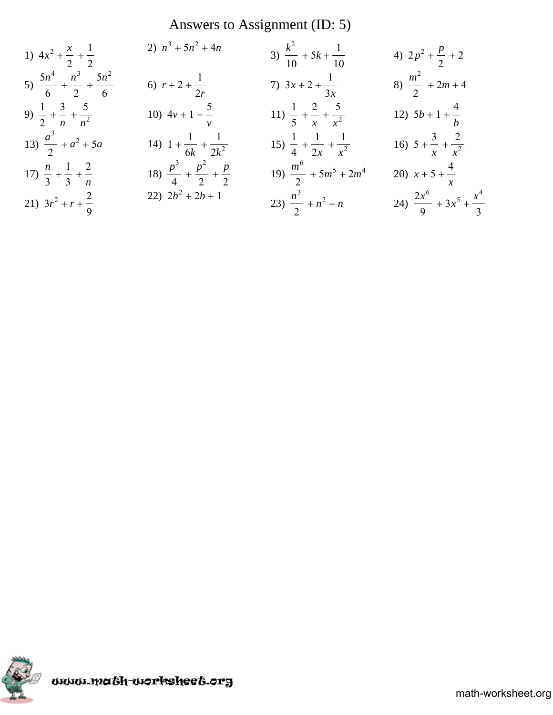# Answers to Assignment (ID: 5)

1) 
$$
4x^2 + \frac{x}{2} + \frac{1}{2}
$$
  
\n2)  $n^3 + 5n^2 + 4n$   
\n3)  $\frac{k^2}{10} + 5k + \frac{1}{10}$   
\n4)  $2p^2 + \frac{p}{2} + 2$   
\n5)  $\frac{5n^4}{6} + \frac{n^3}{2} + \frac{5n^2}{6}$   
\n6)  $r + 2 + \frac{1}{2r}$   
\n7)  $3x + 2 + \frac{1}{3x}$   
\n8)  $\frac{m^2}{2} + 2m + 4$   
\n9)  $\frac{1}{2} + \frac{3}{n} + \frac{5}{n^2}$   
\n10)  $4v + 1 + \frac{5}{v}$   
\n11)  $\frac{1}{5} + \frac{2}{x} + \frac{5}{x^2}$   
\n12)  $5b + 1 + \frac{4}{b}$   
\n13)  $\frac{a^3}{2} + a^2 + 5a$   
\n14)  $1 + \frac{1}{6k} + \frac{1}{2k^2}$   
\n15)  $\frac{1}{4} + \frac{1}{2x} + \frac{1}{x^2}$   
\n16)  $5 + \frac{3}{x} + \frac{2}{x^2}$   
\n17)  $\frac{n}{3} + \frac{1}{3} + \frac{2}{n}$   
\n18)  $\frac{p^3}{4} + \frac{p^2}{2} + \frac{p}{2}$   
\n19)  $\frac{m^6}{2} + 5m^5 + 2m^4$   
\n20)  $x + 5 + \frac{4}{x}$   
\n21)  $3r^2 + r + \frac{2}{9}$   
\n22)  $2b^2 + 2b + 1$   
\n23)  $\frac{n^3}{2} + n^2 + n$   
\n24)  $\frac{2x^6}{9} + 3x^5 + \frac{x^4}{3}$ 

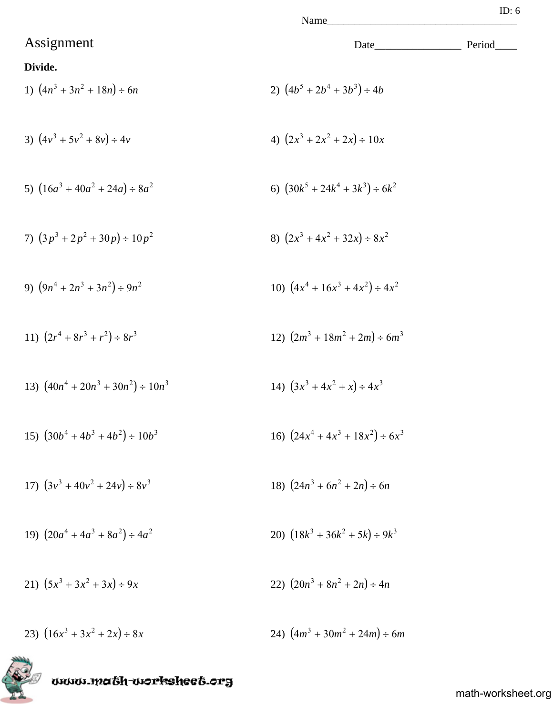# Assignment Date\_\_\_\_\_\_\_\_\_\_\_\_\_\_\_\_ Period\_\_\_\_ **Divide.** 1)  $(4n^3 + 3n^2 + 18n) \div 6n$ 2)  $(4b^5 + 2b^4 + 3b^3) \div 4b$ 3)  $(4v^3 + 5v^2 + 8v) \div 4v$ <br>4)  $(2x^3 + 2x^2 + 2x) \div 10x$ 5)  $(16a^3 + 40a^2 + 24a) \div 8a^2$ 6)  $(30k^5 + 24k^4 + 3k^3) \div 6k^2$ 7)  $(3p^3 + 2p^2 + 30p) \div 10p^2$  8)  $(2x^3 + 4x^2 + 32x) \div 8x^2$ 9)  $(9n^4 + 2n^3 + 3n^2) \div 9n^2$  $(4x^4 + 16x^3 + 4x^2) \div 4x^2$ 11)  $(2r^4 + 8r^3 + r^2) \div 8r^3$  $(2m^3 + 18m^2 + 2m) \div 6m^3$ 13)  $(40n^4 + 20n^3 + 30n^2) \div 10n^3$  $(3x^3 + 4x^2 + x) \div 4x^3$ 15)  $(30b^4 + 4b^3 + 4b^2) \div 10b^3$  $(24x^4 + 4x^3 + 18x^2) \div 6x^3$ 17)  $(3v^3 + 40v^2 + 24v) \div 8v^3$  18)  $(24n^3 + 6n^2 + 2n) \div 6n$ 19)  $(20a^4 + 4a^3 + 8a^2) \div 4a^2$  $(18k^3 + 36k^2 + 5k) \div 9k^3$ 21)  $(5x^3 + 3x^2 + 3x) \div 9x$ <br>22)  $(20n^3 + 8n^2 + 2n) \div 4n$ 23)  $(16x^3 + 3x^2 + 2x) \div 8x$  24)  $(4m^3 + 30m^2 + 24m) \div 6m$

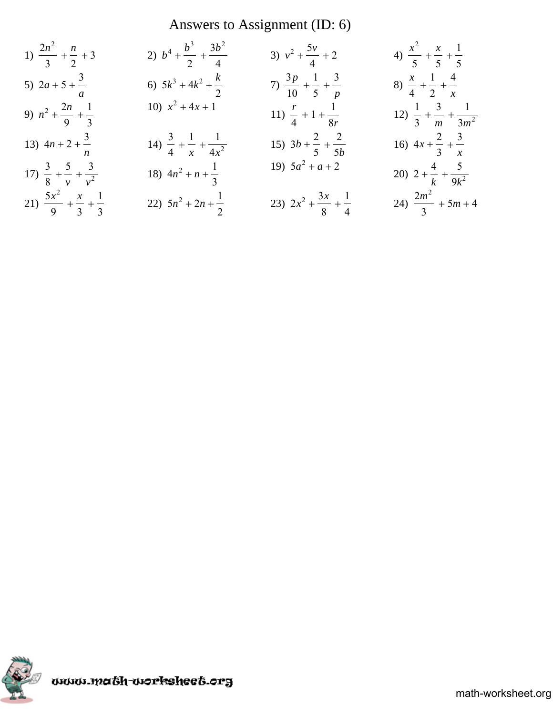# Answers to Assignment (ID: 6)

1) 
$$
\frac{2n^2}{3} + \frac{n}{2} + 3
$$
  
\n2)  $b^4 + \frac{b^3}{2} + \frac{3b^2}{4}$   
\n3)  $v^2 + \frac{5v}{4} + 2$   
\n4)  $\frac{x^2}{5} + \frac{x}{5} + \frac{1}{5}$   
\n5)  $2a + 5 + \frac{3}{a}$   
\n6)  $5k^3 + 4k^2 + \frac{k}{2}$   
\n7)  $\frac{3p}{10} + \frac{1}{5} + \frac{3}{p}$   
\n8)  $\frac{x}{4} + \frac{1}{2} + \frac{4}{x}$   
\n9)  $n^2 + \frac{2n}{9} + \frac{1}{3}$   
\n10)  $x^2 + 4x + 1$   
\n11)  $\frac{r}{4} + 1 + \frac{1}{8r}$   
\n12)  $\frac{1}{3} + \frac{3}{m} + \frac{1}{3m^2}$   
\n13)  $4n + 2 + \frac{3}{n}$   
\n14)  $\frac{3}{4} + \frac{1}{x} + \frac{1}{4x^2}$   
\n15)  $3b + \frac{2}{5} + \frac{2}{5b}$   
\n16)  $4x + \frac{2}{3} + \frac{3}{x}$   
\n17)  $\frac{3}{8} + \frac{5}{v} + \frac{3}{v^2}$   
\n18)  $4n^2 + n + \frac{1}{3}$   
\n19)  $5a^2 + a + 2$   
\n20)  $2 + \frac{4}{k} + \frac{5}{9k^2}$   
\n21)  $\frac{5x^2}{9} + \frac{x}{3} + \frac{1}{3}$   
\n22)  $5n^2 + 2n + \frac{1}{2}$   
\n23)  $2x^2 + \frac{3x}{8} + \frac{1}{4}$   
\n24)  $\frac{2m^2}{3} + 5m + 4$ 

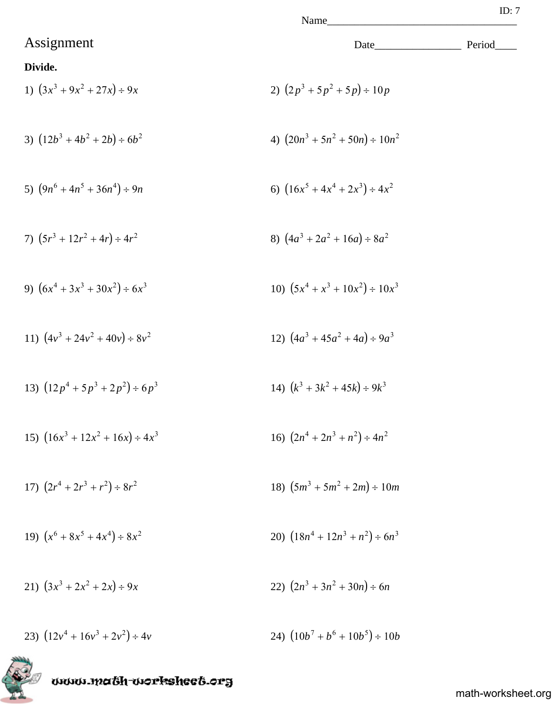Name

## **Divide.**

1) 
$$
(3x^3 + 9x^2 + 27x) \div 9x
$$
  
2)  $(2p^3 + 5p^2 + 5p) \div 10p$ 

3) 
$$
(12b^3 + 4b^2 + 2b) \div 6b^2
$$
 4)  $(20n^3 + 5n^2 + 50n) \div 10n^2$ 

5) 
$$
(9n^6 + 4n^5 + 36n^4) \div 9n
$$
 6)  $(16x^5 + 4x^4 + 2x^3) \div 4x^2$ 

7) 
$$
(5r^3 + 12r^2 + 4r) \div 4r^2
$$
  
8)  $(4a^3 + 2a^2 + 16a) \div 8a^2$ 

9) 
$$
(6x^4 + 3x^3 + 30x^2) \div 6x^3
$$
  
10)  $(5x^4 + x^3 + 10x^2) \div 10x^3$ 

11) 
$$
(4v^3 + 24v^2 + 40v) \div 8v^2
$$
  
12)  $(4a^3 + 45a^2 + 4a) \div 9a^3$ 

13) 
$$
(12p^4 + 5p^3 + 2p^2) \div 6p^3
$$
  
14)  $(k^3 + 3k^2 + 45k) \div 9k^3$ 

15) 
$$
(16x^3 + 12x^2 + 16x) \div 4x^3
$$
  
16)  $(2n^4 + 2n^3 + n^2) \div 4n^2$ 

17) 
$$
(2r^4 + 2r^3 + r^2) \div 8r^2
$$
  
18)  $(5m^3 + 5m^2 + 2m) \div 10m$ 

19) 
$$
(x^6 + 8x^5 + 4x^4) \div 8x^2
$$
  
20)  $(18n^4 + 12n^3 + n^2) \div 6n^3$ 

21) 
$$
(3x^3 + 2x^2 + 2x) \div 9x
$$
  
22)  $(2n^3 + 3n^2 + 30n) \div 6n$ 

23)  $(12v^4 + 16v^3 + 2v^2) \div 4v$  $(10b^7 + b^6 + 10b^5) \div 10b$ 



kT)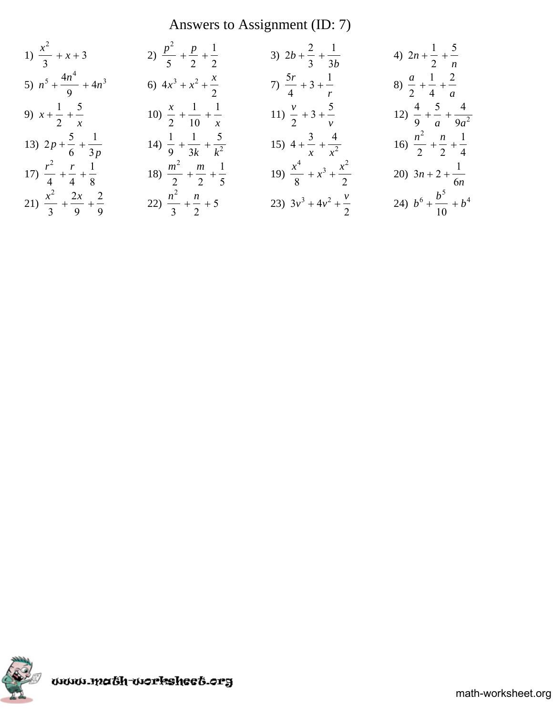# Answers to Assignment (ID: 7)

1) 
$$
\frac{x^2}{3} + x + 3
$$
  
\n2)  $\frac{p^2}{5} + \frac{p}{2} + \frac{1}{2}$   
\n3)  $2b + \frac{2}{3} + \frac{1}{3b}$   
\n4)  $2n + \frac{1}{2} + \frac{5}{n}$   
\n5)  $n^5 + \frac{4n^4}{9} + 4n^3$   
\n6)  $4x^3 + x^2 + \frac{x}{2}$   
\n7)  $\frac{5r}{4} + 3 + \frac{1}{r}$   
\n8)  $\frac{a}{2} + \frac{1}{4} + \frac{2}{a}$   
\n9)  $x + \frac{1}{2} + \frac{5}{x}$   
\n10)  $\frac{x}{2} + \frac{1}{10} + \frac{1}{x}$   
\n11)  $\frac{v}{2} + 3 + \frac{5}{v}$   
\n12)  $\frac{4}{9} + \frac{5}{a} + \frac{4}{9a^2}$   
\n13)  $2p + \frac{5}{6} + \frac{1}{3p}$   
\n14)  $\frac{1}{9} + \frac{1}{3k} + \frac{5}{k^2}$   
\n15)  $4 + \frac{3}{x} + \frac{4}{x^2}$   
\n16)  $\frac{n^2}{2} + \frac{n}{2} + \frac{1}{4}$   
\n17)  $\frac{r^2}{4} + \frac{r}{4} + \frac{1}{8}$   
\n18)  $\frac{m^2}{2} + \frac{m}{2} + \frac{1}{5}$   
\n19)  $\frac{x^4}{8} + x^3 + \frac{x^2}{2}$   
\n20)  $3n + 2 + \frac{1}{6n}$   
\n21)  $\frac{x^2}{3} + \frac{2x}{9} + \frac{2}{9}$   
\n22)  $\frac{n^2}{3} + \frac{n}{2} + 5$   
\n23)  $3v^3 + 4v^2 + \frac{v}{2}$   
\n24)  $b^6 + \frac{b^5}{10} + b^4$ 

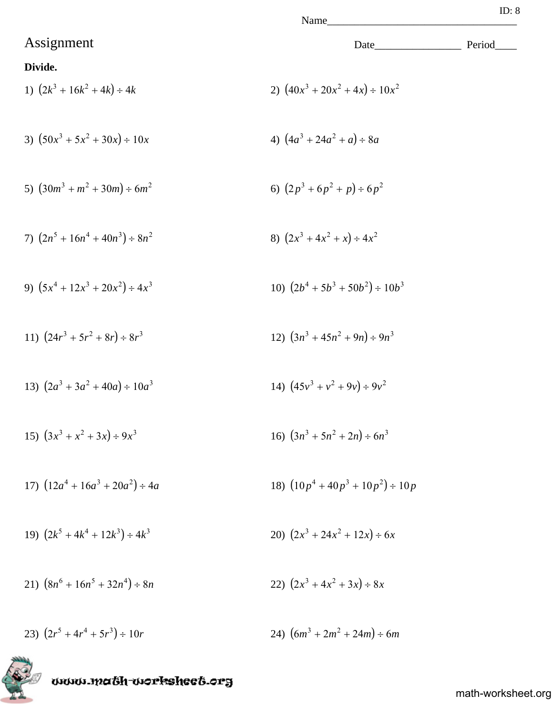1) 
$$
(2k^3 + 16k^2 + 4k) \div 4k
$$
  
2)  $(40x^3 + 20x^2 + 4x) \div 10x^2$ 

3) 
$$
(50x^3 + 5x^2 + 30x) \div 10x
$$
 4)  $(4a^3 + 24a^2 + a) \div 8a$ 

5) 
$$
(30m^3 + m^2 + 30m) \div 6m^2
$$
   
6)  $(2p^3 + 6p^2 + p) \div 6p^2$ 

7) 
$$
(2n^5 + 16n^4 + 40n^3) \div 8n^2
$$
  
8)  $(2x^3 + 4x^2 + x) \div 4x^2$ 

9) 
$$
(5x^4 + 12x^3 + 20x^2) \div 4x^3
$$
  
10)  $(2b^4 + 5b^3 + 50b^2) \div 10b^3$ 

11) 
$$
(24r^3 + 5r^2 + 8r) \div 8r^3
$$
  
12)  $(3n^3 + 45n^2 + 9n) \div 9n^3$ 

13) 
$$
(2a^3 + 3a^2 + 40a) \div 10a^3
$$
  
14)  $(45v^3 + v^2 + 9v) \div 9v^2$ 

15) 
$$
(3x^3 + x^2 + 3x) \div 9x^3
$$
  
16)  $(3n^3 + 5n^2 + 2n) \div 6n^3$ 

17) 
$$
(12a^4 + 16a^3 + 20a^2) \div 4a
$$
  
18)  $(10p^4 + 40p^3 + 10p^2) \div 10p$ 

19) 
$$
(2k^5 + 4k^4 + 12k^3) \div 4k^3
$$
  
20)  $(2x^3 + 24x^2 + 12x) \div 6x$ 

21)  $(8n^6 + 16n^5 + 32n^4) \div 8n$ 22)  $(2x^3 + 4x^2 + 3x) \div 8x$ 

23)  $(2r^5 + 4r^4 + 5r^3) \div 10r$  $24)$   $(6m^3 + 2m^2 + 24m) \div 6m$ 

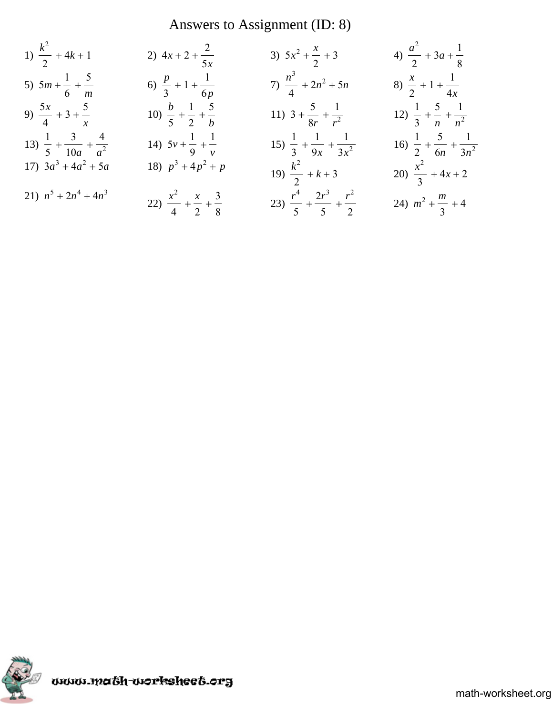# Answers to Assignment (ID: 8)

1) 
$$
\frac{k^2}{2} + 4k + 1
$$
  
\n2)  $4x + 2 + \frac{2}{5x}$   
\n3)  $5x^2 + \frac{x}{2} + 3$   
\n4)  $\frac{a^2}{2} + 3a + \frac{1}{8}$   
\n5)  $5m + \frac{1}{6} + \frac{5}{m}$   
\n6)  $\frac{p}{3} + 1 + \frac{1}{6p}$   
\n7)  $\frac{n^3}{4} + 2n^2 + 5n$   
\n8)  $\frac{x}{2} + 1 + \frac{1}{4x}$   
\n9)  $\frac{5x}{4} + 3 + \frac{5}{x}$   
\n10)  $\frac{b}{5} + \frac{1}{2} + \frac{5}{b}$   
\n11)  $3 + \frac{5}{8r} + \frac{1}{r^2}$   
\n12)  $\frac{1}{3} + \frac{5}{n} + \frac{1}{n^2}$   
\n13)  $\frac{1}{5} + \frac{3}{10a} + \frac{4}{a^2}$   
\n14)  $5v + \frac{1}{9} + \frac{1}{v}$   
\n15)  $\frac{1}{3} + \frac{1}{9x} + \frac{1}{3x^2}$   
\n16)  $\frac{1}{2} + \frac{5}{6n} + \frac{1}{3n^2}$   
\n17)  $3a^3 + 4a^2 + 5a$   
\n18)  $p^3 + 4p^2 + p$   
\n19)  $\frac{k^2}{2} + k + 3$   
\n20)  $\frac{x^2}{3} + 4x + 2$   
\n21)  $n^5 + 2n^4 + 4n^3$   
\n22)  $\frac{x^2}{4} + \frac{x}{2} + \frac{3}{8}$   
\n23)  $\frac{r^4}{5} + \frac{2r^3}{5} + \frac{r^2}{2}$   
\n24)  $m^2 + \frac{m}{3} + 4$ 

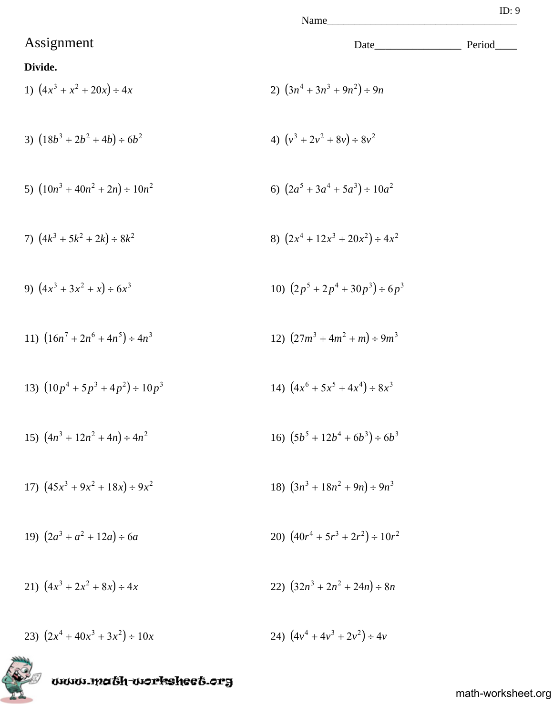1) 
$$
(4x^3 + x^2 + 20x) \div 4x
$$
  
2)  $(3n^4 + 3n^3 + 9n^2) \div 9n$ 

3) 
$$
(18b^3 + 2b^2 + 4b) \div 6b^2
$$
 4)  $(v^3 + 2v^2 + 8v) \div 8v^2$ 

5) 
$$
(10n^3 + 40n^2 + 2n) \div 10n^2
$$
   
6)  $(2a^5 + 3a^4 + 5a^3) \div 10a^2$ 

7) 
$$
(4k^3 + 5k^2 + 2k) \div 8k^2
$$
  
8)  $(2x^4 + 12x^3 + 20x^2) \div 4x^2$ 

9) 
$$
(4x^3 + 3x^2 + x) \div 6x^3
$$
  
10)  $(2p^5 + 2p^4 + 30p^3) \div 6p^3$ 

11) 
$$
(16n^7 + 2n^6 + 4n^5) \div 4n^3
$$
  
12)  $(27m^3 + 4m^2 + m) \div 9m^3$ 

13) 
$$
(10p^4 + 5p^3 + 4p^2) \div 10p^3
$$
  
14)  $(4x^6 + 5x^5 + 4x^4) \div 8x^3$ 

15) 
$$
(4n^3 + 12n^2 + 4n) \div 4n^2
$$
  
16)  $(5b^5 + 12b^4 + 6b^3) \div 6b^3$ 

17) 
$$
(45x^3 + 9x^2 + 18x) \div 9x^2
$$
  
18)  $(3n^3 + 18n^2 + 9n) \div 9n^3$ 

19) 
$$
(2a^3 + a^2 + 12a) \div 6a
$$
  
20)  $(40r^4 + 5r^3 + 2r^2) \div 10r^2$ 

21) 
$$
(4x^3 + 2x^2 + 8x) \div 4x
$$
  
22)  $(32n^3 + 2n^2 + 24n) \div 8n$ 

23)  $(2x^4 + 40x^3 + 3x^2) \div 10x$  $(4v^4 + 4v^3 + 2v^2) \div 4v$ 

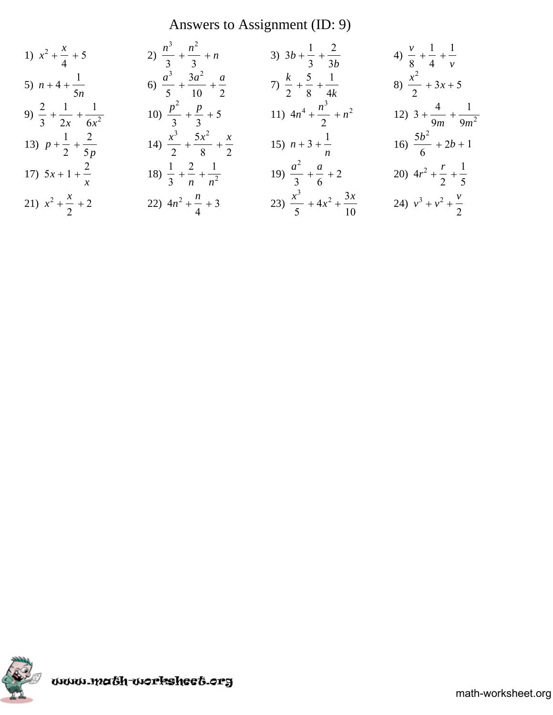# Answers to Assignment (ID: 9)

1) 
$$
x^2 + \frac{x}{4} + 5
$$
  
\n2)  $\frac{n^3}{3} + \frac{n^2}{3} + n$   
\n3)  $3b + \frac{1}{3} + \frac{2}{3b}$   
\n4)  $\frac{v}{8} + \frac{1}{4} + \frac{1}{v}$   
\n5)  $n + 4 + \frac{1}{5n}$   
\n6)  $\frac{a^3}{5} + \frac{3a^2}{10} + \frac{a}{2}$   
\n7)  $\frac{k}{2} + \frac{5}{8} + \frac{1}{4k}$   
\n8)  $\frac{x^2}{2} + 3x + 5$   
\n9)  $\frac{2}{3} + \frac{1}{2x} + \frac{1}{6x^2}$   
\n10)  $\frac{p^2}{3} + \frac{p}{3} + 5$   
\n11)  $4n^4 + \frac{n^3}{2} + n^2$   
\n12)  $3 + \frac{4}{9m} + \frac{1}{9m^2}$   
\n13)  $p + \frac{1}{2} + \frac{2}{5p}$   
\n14)  $\frac{x^3}{2} + \frac{5x^2}{8} + \frac{x}{2}$   
\n15)  $n + 3 + \frac{1}{n}$   
\n16)  $\frac{5b^2}{6} + 2b + 1$   
\n17)  $5x + 1 + \frac{2}{x}$   
\n18)  $\frac{1}{3} + \frac{2}{n} + \frac{1}{n^2}$   
\n19)  $\frac{a^2}{3} + \frac{a}{6} + 2$   
\n20)  $4r^2 + \frac{r}{2} + \frac{1}{5}$   
\n21)  $x^2 + \frac{x}{2} + 2$   
\n22)  $4n^2 + \frac{n}{4} + 3$   
\n23)  $\frac{x^3}{5} + 4x^2 + \frac{3x}{10}$   
\n24)  $v^3 + v^2 + \frac{v}{2}$ 

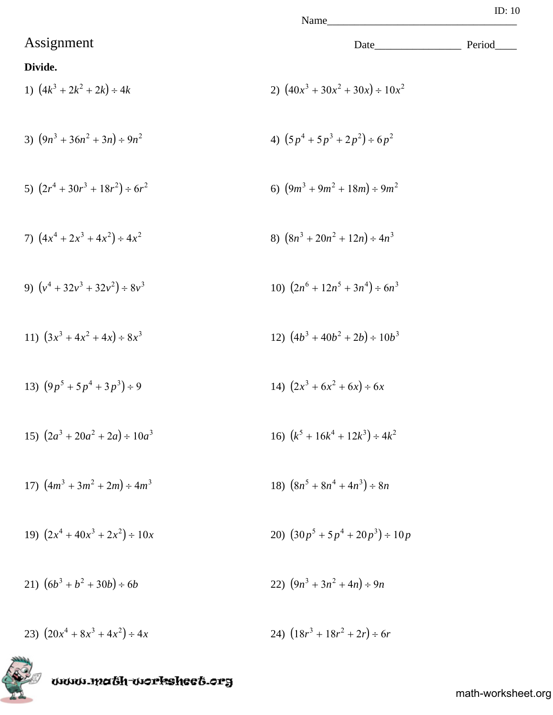1) 
$$
(4k^3 + 2k^2 + 2k) \div 4k
$$
  
2)  $(40x^3 + 30x^2 + 30x) \div 10x^2$ 

3) 
$$
(9n^3 + 36n^2 + 3n) \div 9n^2
$$
  
4)  $(5p^4 + 5p^3 + 2p^2) \div 6p^2$ 

5) 
$$
(2r^4 + 30r^3 + 18r^2) \div 6r^2
$$
   
6)  $(9m^3 + 9m^2 + 18m) \div 9m^2$ 

7) 
$$
(4x^4 + 2x^3 + 4x^2) \div 4x^2
$$
  
8)  $(8n^3 + 20n^2 + 12n) \div 4n^3$ 

9) 
$$
(v^4 + 32v^3 + 32v^2) \div 8v^3
$$
  
10)  $(2n^6 + 12n^5 + 3n^4) \div 6n^3$ 

11) 
$$
(3x^3 + 4x^2 + 4x) \div 8x^3
$$
  
12)  $(4b^3 + 40b^2 + 2b) \div 10b^3$ 

13) 
$$
(9p^5 + 5p^4 + 3p^3) \div 9
$$
  
14)  $(2x^3 + 6x^2 + 6x) \div 6x$ 

15) 
$$
(2a^3 + 20a^2 + 2a) \div 10a^3
$$
  
16)  $(k^5 + 16k^4 + 12k^3) \div 4k^2$ 

17) 
$$
(4m^3 + 3m^2 + 2m) \div 4m^3
$$
 18)  $(8n^5 + 8n^4 + 4n^3) \div 8n$ 

19) 
$$
(2x^4 + 40x^3 + 2x^2) \div 10x
$$
  
20)  $(30p^5 + 5p^4 + 20p^3) \div 10p$ 

21)  $(6b^3 + b^2 + 30b) \div 6b$ <br>22)  $(9n^3 + 3n^2 + 4n) \div 9n$ 

23)  $(20x^4 + 8x^3 + 4x^2) \div 4x$  $(18r^3 + 18r^2 + 2r) \div 6r$ 



math-worksheet.org